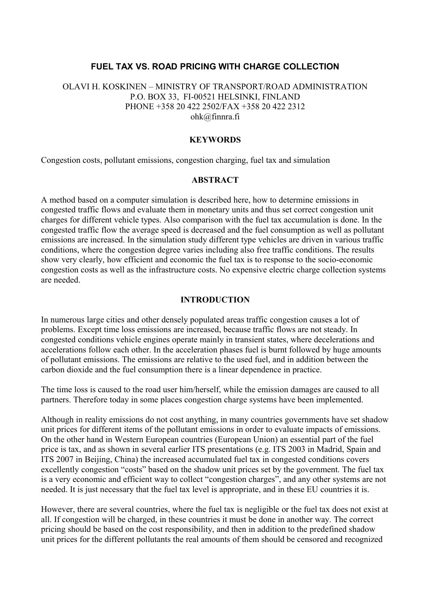# **FUEL TAX VS. ROAD PRICING WITH CHARGE COLLECTION**

## OLAVI H. KOSKINEN – MINISTRY OF TRANSPORT/ROAD ADMINISTRATION P.O. BOX 33, FI-00521 HELSINKI, FINLAND PHONE +358 20 422 2502/FAX +358 20 422 2312 ohk@finnra.fi

#### **KEYWORDS**

Congestion costs, pollutant emissions, congestion charging, fuel tax and simulation

### **ABSTRACT**

A method based on a computer simulation is described here, how to determine emissions in congested traffic flows and evaluate them in monetary units and thus set correct congestion unit charges for different vehicle types. Also comparison with the fuel tax accumulation is done. In the congested traffic flow the average speed is decreased and the fuel consumption as well as pollutant emissions are increased. In the simulation study different type vehicles are driven in various traffic conditions, where the congestion degree varies including also free traffic conditions. The results show very clearly, how efficient and economic the fuel tax is to response to the socio-economic congestion costs as well as the infrastructure costs. No expensive electric charge collection systems are needed.

#### **INTRODUCTION**

In numerous large cities and other densely populated areas traffic congestion causes a lot of problems. Except time loss emissions are increased, because traffic flows are not steady. In congested conditions vehicle engines operate mainly in transient states, where decelerations and accelerations follow each other. In the acceleration phases fuel is burnt followed by huge amounts of pollutant emissions. The emissions are relative to the used fuel, and in addition between the carbon dioxide and the fuel consumption there is a linear dependence in practice.

The time loss is caused to the road user him/herself, while the emission damages are caused to all partners. Therefore today in some places congestion charge systems have been implemented.

Although in reality emissions do not cost anything, in many countries governments have set shadow unit prices for different items of the pollutant emissions in order to evaluate impacts of emissions. On the other hand in Western European countries (European Union) an essential part of the fuel price is tax, and as shown in several earlier ITS presentations (e.g. ITS 2003 in Madrid, Spain and ITS 2007 in Beijing, China) the increased accumulated fuel tax in congested conditions covers excellently congestion "costs" based on the shadow unit prices set by the government. The fuel tax is a very economic and efficient way to collect "congestion charges", and any other systems are not needed. It is just necessary that the fuel tax level is appropriate, and in these EU countries it is.

However, there are several countries, where the fuel tax is negligible or the fuel tax does not exist at all. If congestion will be charged, in these countries it must be done in another way. The correct pricing should be based on the cost responsibility, and then in addition to the predefined shadow unit prices for the different pollutants the real amounts of them should be censored and recognized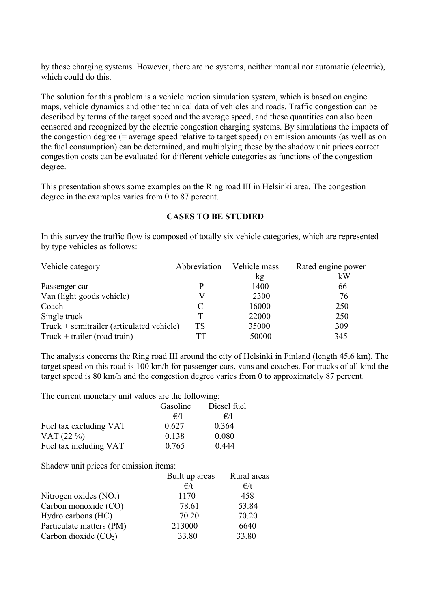by those charging systems. However, there are no systems, neither manual nor automatic (electric), which could do this.

The solution for this problem is a vehicle motion simulation system, which is based on engine maps, vehicle dynamics and other technical data of vehicles and roads. Traffic congestion can be described by terms of the target speed and the average speed, and these quantities can also been censored and recognized by the electric congestion charging systems. By simulations the impacts of the congestion degree (= average speed relative to target speed) on emission amounts (as well as on the fuel consumption) can be determined, and multiplying these by the shadow unit prices correct congestion costs can be evaluated for different vehicle categories as functions of the congestion degree.

This presentation shows some examples on the Ring road III in Helsinki area. The congestion degree in the examples varies from 0 to 87 percent.

# **CASES TO BE STUDIED**

In this survey the traffic flow is composed of totally six vehicle categories, which are represented by type vehicles as follows:

| Vehicle category                            | Abbreviation | Vehicle mass | Rated engine power |  |
|---------------------------------------------|--------------|--------------|--------------------|--|
|                                             |              | kg           | kW                 |  |
| Passenger car                               |              | 1400         | 66                 |  |
| Van (light goods vehicle)                   |              | 2300         | 76                 |  |
| Coach                                       | C            | 16000        | 250                |  |
| Single truck                                | т            | 22000        | 250                |  |
| $Truck + semitrailer (articulated vehicle)$ | TS           | 35000        | 309                |  |
| Truck + trailer (road train)                | TТ           | 50000        | 345                |  |

The analysis concerns the Ring road III around the city of Helsinki in Finland (length 45.6 km). The target speed on this road is 100 km/h for passenger cars, vans and coaches. For trucks of all kind the target speed is 80 km/h and the congestion degree varies from 0 to approximately 87 percent.

The current monetary unit values are the following:

|                        | Gasoline     | Diesel fuel |
|------------------------|--------------|-------------|
|                        | $\epsilon/1$ | f/1         |
| Fuel tax excluding VAT | 0.627        | 0.364       |
| VAT $(22\%)$           | 0.138        | 0.080       |
| Fuel tax including VAT | 0.765        | 0.444       |

Shadow unit prices for emission items:

|                          | Built up areas | Rural areas  |
|--------------------------|----------------|--------------|
|                          | $\epsilon/t$   | $\epsilon/t$ |
| Nitrogen oxides $(NOx)$  | 1170           | 458          |
| Carbon monoxide (CO)     | 78.61          | 53.84        |
| Hydro carbons (HC)       | 70.20          | 70.20        |
| Particulate matters (PM) | 213000         | 6640         |
| Carbon dioxide $(CO2)$   | 33.80          | 33.80        |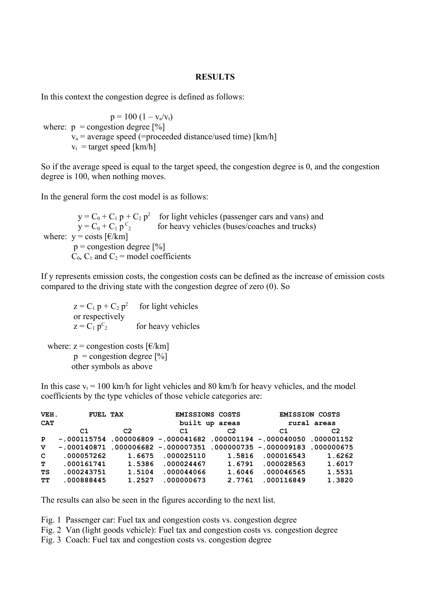## **RESULTS**

In this context the congestion degree is defined as follows:

 $p = 100 (1 - v_a/v_t)$ where:  $p =$  congestion degree [%]  $v_a$  = average speed (=proceeded distance/used time) [km/h]  $v_t$  = target speed [km/h]

So if the average speed is equal to the target speed, the congestion degree is 0, and the congestion degree is 100, when nothing moves.

In the general form the cost model is as follows:

 $y = C_0 + C_1 p + C_2 p^2$  for light vehicles (passenger cars and vans) and  $y = C_0 + C_1 p^C_2$ for heavy vehicles (buses/coaches and trucks) where:  $y = \text{costs}$  [ $\epsilon/km$ ]  $p =$  congestion degree  $[\%]$  $C_0$ ,  $C_1$  and  $C_2$  = model coefficients

If y represents emission costs, the congestion costs can be defined as the increase of emission costs compared to the driving state with the congestion degree of zero (0). So

 $z = C_1 p + C_2 p^2$  for light vehicles or respectively  $z = C_1 p^C_2$ for heavy vehicles where:  $z =$  congestion costs  $\lbrack \in \mathcal{K}$ m]  $p =$ congestion degree [%] other symbols as above

In this case  $v_t = 100$  km/h for light vehicles and 80 km/h for heavy vehicles, and the model coefficients by the type vehicles of those vehicle categories are:

| VEH.<br><b>CAT</b> | FUEL TAX   |                | <b>EMISSIONS COSTS</b> | built up areas | <b>EMISSION COSTS</b><br>rural areas                                   |                |  |
|--------------------|------------|----------------|------------------------|----------------|------------------------------------------------------------------------|----------------|--|
|                    | C1         | C <sub>2</sub> | C1                     | C <sub>2</sub> | C1                                                                     | C <sub>2</sub> |  |
| P                  |            |                |                        |                | $-.000115754$ .000006809 -.000041682.000001194 -.000040050.000001152   |                |  |
| v                  |            |                |                        |                | $-.000140871$ .000006682 -.000007351 .000000735 -.000009183 .000000675 |                |  |
| $\mathbf{C}$       | .000057262 | 1.6675         | .000025110             | 1.5816         | .000016543                                                             | 1.6262         |  |
| т                  | .000161741 | 1.5386         | .000024467             | 1.6791         | .000028563                                                             | 1.6017         |  |
| TS                 | .000243751 | 1.5104         | .000044066             | 1.6046         | .000046565                                                             | 1.5531         |  |
| TТ                 | .000888445 | 1.2527         | .000000673             | 2.7761         | .000116849                                                             | 1.3820         |  |

The results can also be seen in the figures according to the next list.

Fig. 1 Passenger car: Fuel tax and congestion costs vs. congestion degree

Fig. 2 Van (light goods vehicle): Fuel tax and congestion costs vs. congestion degree

Fig. 3 Coach: Fuel tax and congestion costs vs. congestion degree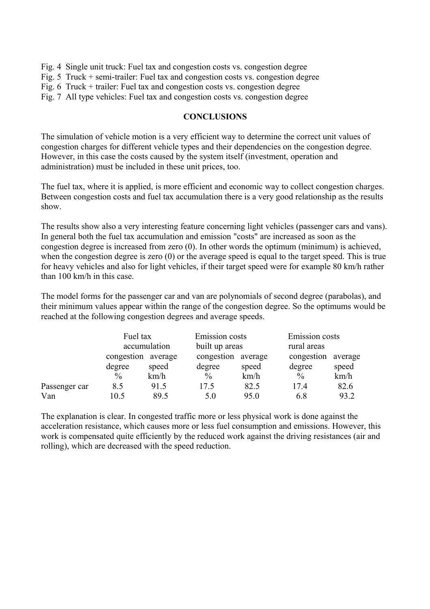- Fig. 4 Single unit truck: Fuel tax and congestion costs vs. congestion degree
- Fig. 5 Truck + semi-trailer: Fuel tax and congestion costs vs. congestion degree
- Fig. 6 Truck + trailer: Fuel tax and congestion costs vs. congestion degree
- Fig. 7 All type vehicles: Fuel tax and congestion costs vs. congestion degree

# **CONCLUSIONS**

The simulation of vehicle motion is a very efficient way to determine the correct unit values of congestion charges for different vehicle types and their dependencies on the congestion degree. However, in this case the costs caused by the system itself (investment, operation and administration) must be included in these unit prices, too.

The fuel tax, where it is applied, is more efficient and economic way to collect congestion charges. Between congestion costs and fuel tax accumulation there is a very good relationship as the results show.

The results show also a very interesting feature concerning light vehicles (passenger cars and vans). In general both the fuel tax accumulation and emission "costs" are increased as soon as the congestion degree is increased from zero (0). In other words the optimum (minimum) is achieved, when the congestion degree is zero (0) or the average speed is equal to the target speed. This is true for heavy vehicles and also for light vehicles, if their target speed were for example 80 km/h rather than 100 km/h in this case.

The model forms for the passenger car and van are polynomials of second degree (parabolas), and their minimum values appear within the range of the congestion degree. So the optimums would be reached at the following congestion degrees and average speeds.

|               | Fuel tax<br>accumulation |       | Emission costs<br>built up areas |         | Emission costs<br>rural areas |         |
|---------------|--------------------------|-------|----------------------------------|---------|-------------------------------|---------|
|               | congestion average       |       | congestion                       | average | congestion                    | average |
|               | degree                   | speed | degree                           | speed   | degree                        | speed   |
|               | $\frac{0}{0}$            | km/h  | $\frac{0}{0}$                    | km/h    | $\frac{0}{0}$                 | km/h    |
| Passenger car | 8.5                      | 91.5  | 17.5                             | 82.5    | 17.4                          | 82.6    |
| Van           | 10.5                     | 89.5  | 5.0                              | 95.0    | 6.8                           | 93.2    |

The explanation is clear. In congested traffic more or less physical work is done against the acceleration resistance, which causes more or less fuel consumption and emissions. However, this work is compensated quite efficiently by the reduced work against the driving resistances (air and rolling), which are decreased with the speed reduction.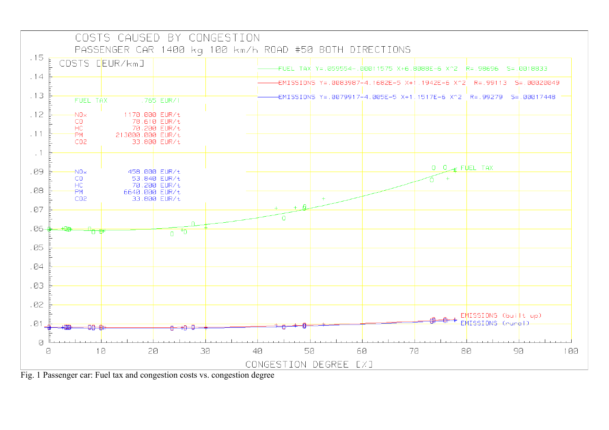

Fig. 1 Passenger car: Fuel tax and congestion costs vs. congestion degree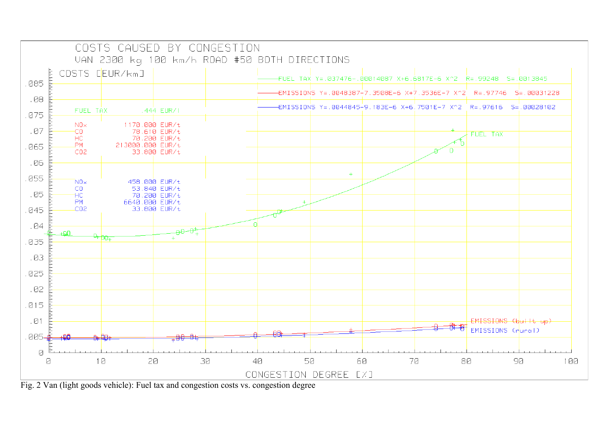

Fig. 2 Van (light goods vehicle): Fuel tax and congestion costs vs. congestion degree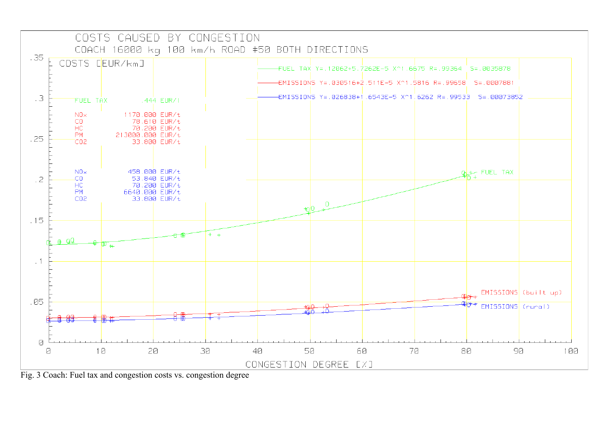

Fig. 3 Coach: Fuel tax and congestion costs vs. congestion degree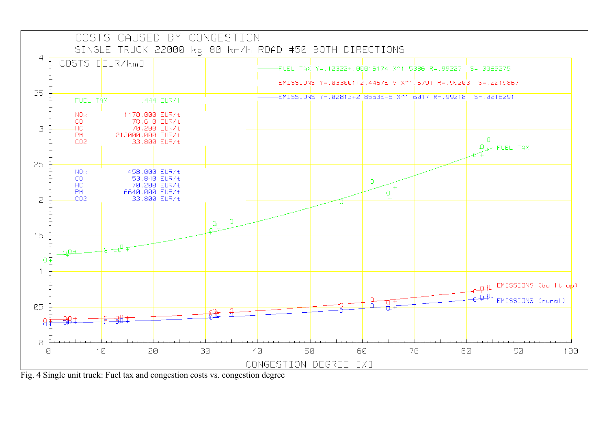

Fig. 4 Single unit truck: Fuel tax and congestion costs vs. congestion degree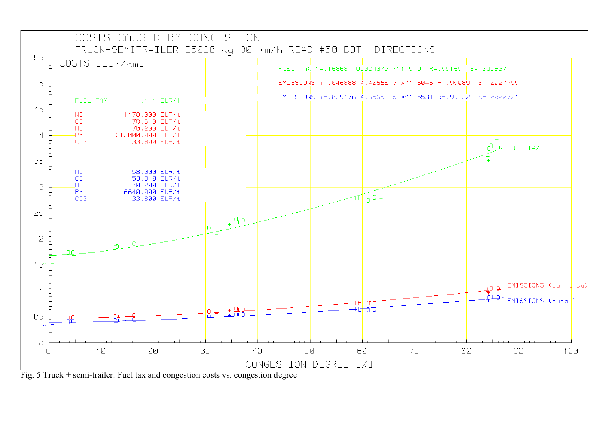

Fig. 5 Truck + semi-trailer: Fuel tax and congestion costs vs. congestion degree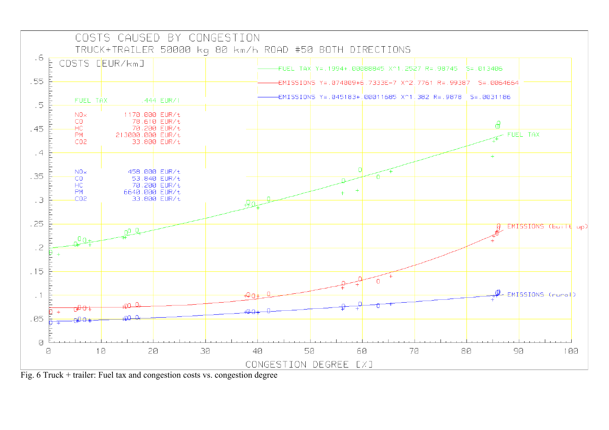

Fig. 6 Truck + trailer: Fuel tax and congestion costs vs. congestion degree